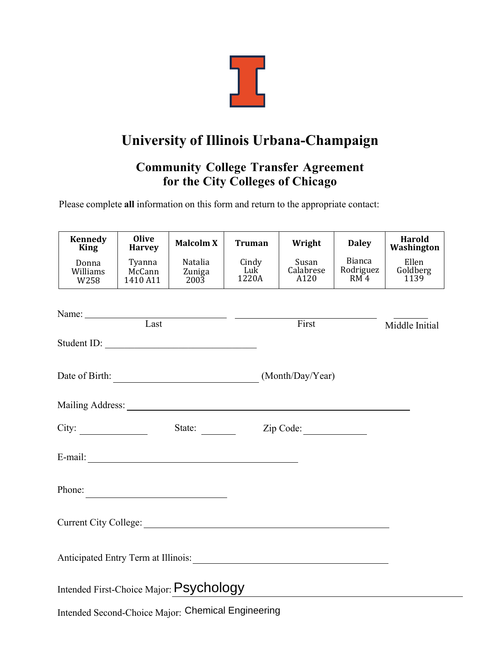

## **University of Illinois Urbana-Champaign**

## **Community College Transfer Agreement for the City Colleges of Chicago**

Please complete **all** information on this form and return to the appropriate contact:

| <b>Kennedy</b><br><b>King</b>                      | <b>Olive</b><br><b>Harvey</b> | <b>Malcolm X</b>                                  | <b>Truman</b>         | Wright                     | <b>Daley</b>                                    | Harold<br>Washington      |
|----------------------------------------------------|-------------------------------|---------------------------------------------------|-----------------------|----------------------------|-------------------------------------------------|---------------------------|
| Donna<br>Williams<br>W258                          | Tyanna<br>McCann<br>1410 A11  | <b>Natalia</b><br>Zuniga<br>2003                  | Cindy<br>Luk<br>1220A | Susan<br>Calabrese<br>A120 | <b>Bianca</b><br>Rodriguez<br>RM <sup>2</sup> 4 | Ellen<br>Goldberg<br>1139 |
| Name: Last Last Last                               |                               |                                                   |                       |                            |                                                 |                           |
| Student ID:                                        |                               |                                                   |                       | First                      |                                                 | Middle Initial            |
| (Month/Day/Year)<br>Date of Birth:                 |                               |                                                   |                       |                            |                                                 |                           |
|                                                    |                               |                                                   |                       |                            |                                                 |                           |
| City:<br>State: $\frac{ }{ }$                      |                               |                                                   |                       | Zip Code:                  |                                                 |                           |
| E-mail:                                            |                               |                                                   |                       |                            |                                                 |                           |
| Phone:                                             |                               | <u> 1989 - Johann Barnett, fransk politiker (</u> |                       |                            |                                                 |                           |
|                                                    |                               |                                                   |                       |                            |                                                 |                           |
|                                                    |                               |                                                   |                       |                            |                                                 |                           |
| Intended First-Choice Major: Psychology            |                               |                                                   |                       |                            |                                                 |                           |
| Intended Second-Choice Major: Chemical Engineering |                               |                                                   |                       |                            |                                                 |                           |